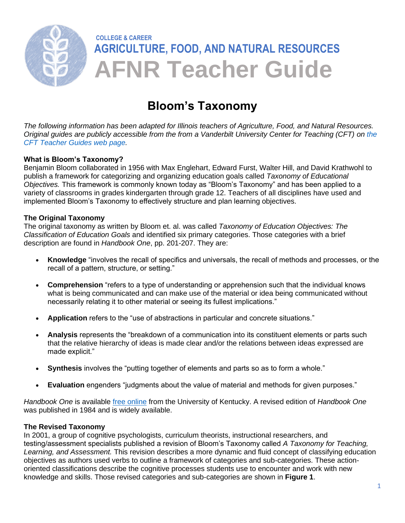

# **Bloom's Taxonomy**

*The following information has been adapted for Illinois teachers of Agriculture, Food, and Natural Resources. Original guides are publicly accessible from the from a Vanderbilt University Center for Teaching (CFT) on [the](https://cft.vanderbilt.edu/guides-sub-pages/)  [CFT Teacher Guides web page.](https://cft.vanderbilt.edu/guides-sub-pages/)* 

## **What is Bloom's Taxonomy?**

Benjamin Bloom collaborated in 1956 with Max Englehart, Edward Furst, Walter Hill, and David Krathwohl to publish a framework for categorizing and organizing education goals called *Taxonomy of Educational Objectives.* This framework is commonly known today as "Bloom's Taxonomy" and has been applied to a variety of classrooms in grades kindergarten through grade 12. Teachers of all disciplines have used and implemented Bloom's Taxonomy to effectively structure and plan learning objectives.

## **The Original Taxonomy**

The original taxonomy as written by Bloom et. al. was called *Taxonomy of Education Objectives: The Classification of Education Goals* and identified six primary categories. Those categories with a brief description are found in *Handbook One*, pp. 201-207. They are:

- **Knowledge** "involves the recall of specifics and universals, the recall of methods and processes, or the recall of a pattern, structure, or setting."
- **Comprehension** "refers to a type of understanding or apprehension such that the individual knows what is being communicated and can make use of the material or idea being communicated without necessarily relating it to other material or seeing its fullest implications."
- **Application** refers to the "use of abstractions in particular and concrete situations."
- **Analysis** represents the "breakdown of a communication into its constituent elements or parts such that the relative hierarchy of ideas is made clear and/or the relations between ideas expressed are made explicit."
- **Synthesis** involves the "putting together of elements and parts so as to form a whole."
- **Evaluation** engenders "judgments about the value of material and methods for given purposes."

*Handbook One* is available [free online](https://www.uky.edu/~rsand1/china2018/texts/Bloom%20et%20al%20-Taxonomy%20of%20Educational%20Objectives.pdf) from the University of Kentucky. A revised edition of *Handbook One*  was published in 1984 and is widely available.

## **The Revised Taxonomy**

In 2001, a group of cognitive psychologists, curriculum theorists, instructional researchers, and testing/assessment specialists published a revision of Bloom's Taxonomy called *A Taxonomy for Teaching, Learning, and Assessment.* This revision describes a more dynamic and fluid concept of classifying education objectives as authors used verbs to outline a framework of categories and sub-categories. These actionoriented classifications describe the cognitive processes students use to encounter and work with new knowledge and skills. Those revised categories and sub-categories are shown in **Figure 1**.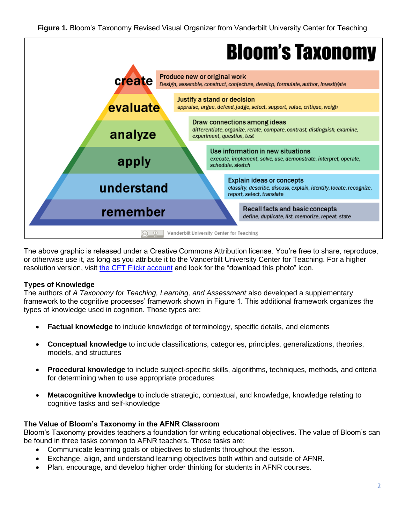

The above graphic is released under a Creative Commons Attribution license. You're free to share, reproduce, or otherwise use it, as long as you attribute it to the Vanderbilt University Center for Teaching. For a higher resolution version, visit the CFT [Flickr account](https://www.flickr.com/photos/vandycft/29428436431) and look for the "download this photo" icon.

## **Types of Knowledge**

The authors of *A Taxonomy for Teaching, Learning, and Assessment* also developed a supplementary framework to the cognitive processes' framework shown in Figure 1. This additional framework organizes the types of knowledge used in cognition. Those types are:

- **Factual knowledge** to include knowledge of terminology, specific details, and elements
- **Conceptual knowledge** to include classifications, categories, principles, generalizations, theories, models, and structures
- **Procedural knowledge** to include subject-specific skills, algorithms, techniques, methods, and criteria for determining when to use appropriate procedures
- **Metacognitive knowledge** to include strategic, contextual, and knowledge, knowledge relating to cognitive tasks and self-knowledge

## **The Value of Bloom's Taxonomy in the AFNR Classroom**

Bloom's Taxonomy provides teachers a foundation for writing educational objectives. The value of Bloom's can be found in three tasks common to AFNR teachers. Those tasks are:

- Communicate learning goals or objectives to students throughout the lesson.
- Exchange, align, and understand learning objectives both within and outside of AFNR.
- Plan, encourage, and develop higher order thinking for students in AFNR courses.